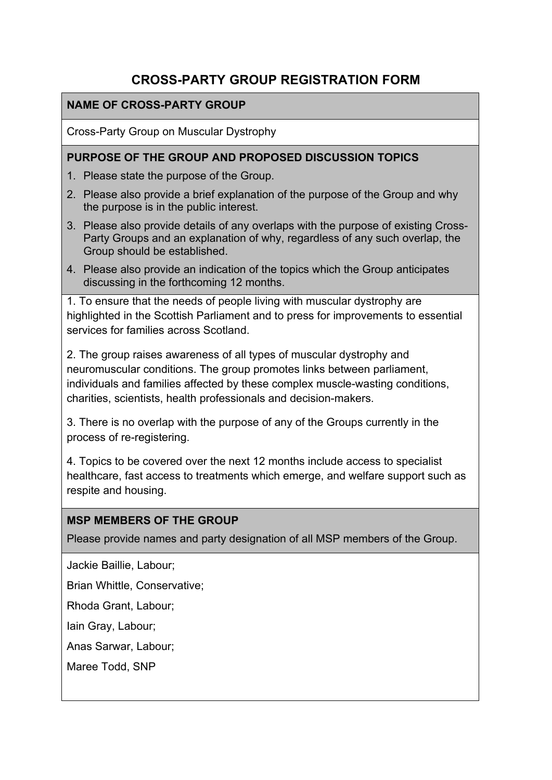# **CROSS-PARTY GROUP REGISTRATION FORM**

#### **NAME OF CROSS-PARTY GROUP**

Cross-Party Group on Muscular Dystrophy

#### **PURPOSE OF THE GROUP AND PROPOSED DISCUSSION TOPICS**

- 1. Please state the purpose of the Group.
- 2. Please also provide a brief explanation of the purpose of the Group and why the purpose is in the public interest.
- 3. Please also provide details of any overlaps with the purpose of existing Cross-Party Groups and an explanation of why, regardless of any such overlap, the Group should be established.
- 4. Please also provide an indication of the topics which the Group anticipates discussing in the forthcoming 12 months.

1. To ensure that the needs of people living with muscular dystrophy are highlighted in the Scottish Parliament and to press for improvements to essential services for families across Scotland.

2. The group raises awareness of all types of muscular dystrophy and neuromuscular conditions. The group promotes links between parliament, individuals and families affected by these complex muscle-wasting conditions, charities, scientists, health professionals and decision-makers.

3. There is no overlap with the purpose of any of the Groups currently in the process of re-registering.

4. Topics to be covered over the next 12 months include access to specialist healthcare, fast access to treatments which emerge, and welfare support such as respite and housing.

#### **MSP MEMBERS OF THE GROUP**

Please provide names and party designation of all MSP members of the Group.

Jackie Baillie, Labour;

Brian Whittle, Conservative;

Rhoda Grant, Labour;

Iain Gray, Labour;

Anas Sarwar, Labour;

Maree Todd, SNP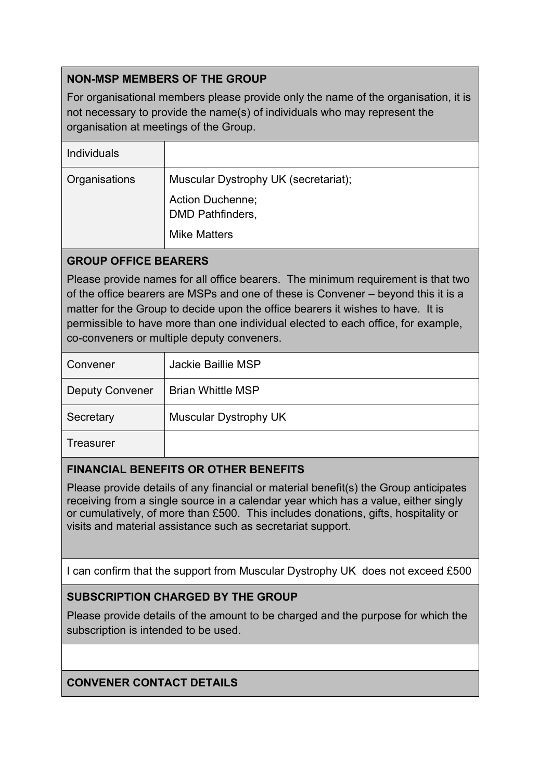# **NON-MSP MEMBERS OF THE GROUP**

For organisational members please provide only the name of the organisation, it is not necessary to provide the name(s) of individuals who may represent the organisation at meetings of the Group.

| <b>Individuals</b> |                                             |
|--------------------|---------------------------------------------|
| Organisations      | Muscular Dystrophy UK (secretariat);        |
|                    | Action Duchenne;<br><b>DMD Pathfinders,</b> |
|                    | <b>Mike Matters</b>                         |

### **GROUP OFFICE BEARERS**

Please provide names for all office bearers. The minimum requirement is that two of the office bearers are MSPs and one of these is Convener – beyond this it is a matter for the Group to decide upon the office bearers it wishes to have. It is permissible to have more than one individual elected to each office, for example, co-conveners or multiple deputy conveners.

| Convener               | Jackie Baillie MSP           |
|------------------------|------------------------------|
| <b>Deputy Convener</b> | <b>Brian Whittle MSP</b>     |
| Secretary              | <b>Muscular Dystrophy UK</b> |
| Treasurer              |                              |

#### **FINANCIAL BENEFITS OR OTHER BENEFITS**

Please provide details of any financial or material benefit(s) the Group anticipates receiving from a single source in a calendar year which has a value, either singly or cumulatively, of more than £500. This includes donations, gifts, hospitality or visits and material assistance such as secretariat support.

I can confirm that the support from Muscular Dystrophy UK does not exceed £500

# **SUBSCRIPTION CHARGED BY THE GROUP**

Please provide details of the amount to be charged and the purpose for which the subscription is intended to be used.

#### **CONVENER CONTACT DETAILS**